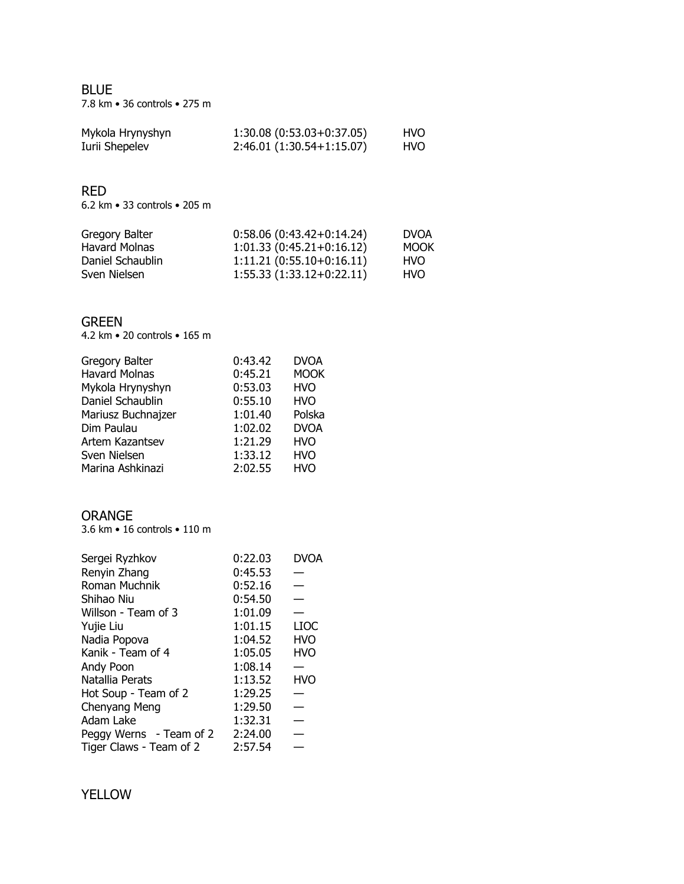BLUE 7.8 km • 36 controls • 275 m

| Mykola Hrynyshyn | $1:30.08(0:53.03+0:37.05)$ | HVO |
|------------------|----------------------------|-----|
| Iurii Shepelev   | $2:46.01(1:30.54+1:15.07)$ | HVO |

#### RED

6.2 km • 33 controls • 205 m

| Gregory Balter   | $0:58.06(0:43.42+0:14.24)$ | <b>DVOA</b> |
|------------------|----------------------------|-------------|
| Havard Molnas    | $1:01.33(0:45.21+0:16.12)$ | <b>MOOK</b> |
| Daniel Schaublin | $1:11.21(0:55.10+0:16.11)$ | <b>HVO</b>  |
| Sven Nielsen     | $1:55.33(1:33.12+0:22.11)$ | <b>HVO</b>  |

## GREEN

4.2 km • 20 controls • 165 m

| Gregory Balter       | 0:43.42 | <b>DVOA</b> |
|----------------------|---------|-------------|
| <b>Havard Molnas</b> | 0:45.21 | <b>MOOK</b> |
| Mykola Hrynyshyn     | 0:53.03 | <b>HVO</b>  |
| Daniel Schaublin     | 0:55.10 | <b>HVO</b>  |
| Mariusz Buchnajzer   | 1:01.40 | Polska      |
| Dim Paulau           | 1:02.02 | <b>DVOA</b> |
| Artem Kazantsev      | 1:21.29 | <b>HVO</b>  |
| Sven Nielsen         | 1:33.12 | <b>HVO</b>  |
| Marina Ashkinazi     | 2:02.55 | <b>HVO</b>  |

### ORANGE

3.6 km • 16 controls • 110 m

| Sergei Ryzhkov          | 0:22.03 | DVOA        |
|-------------------------|---------|-------------|
| Renyin Zhang            | 0:45.53 |             |
| Roman Muchnik           | 0:52.16 |             |
| Shihao Niu              | 0:54.50 |             |
| Willson - Team of 3     | 1:01.09 |             |
| Yujie Liu               | 1:01.15 | <b>LIOC</b> |
| Nadia Popova            | 1:04.52 | <b>HVO</b>  |
| Kanik - Team of 4       | 1:05.05 | <b>HVO</b>  |
| Andy Poon               | 1:08.14 |             |
| Natallia Perats         | 1:13.52 | <b>HVO</b>  |
| Hot Soup - Team of 2    | 1:29.25 |             |
| Chenyang Meng           | 1:29.50 |             |
| Adam Lake               | 1:32.31 |             |
| Peggy Werns - Team of 2 | 2:24.00 |             |
| Tiger Claws - Team of 2 | 2:57.54 |             |

## YELLOW